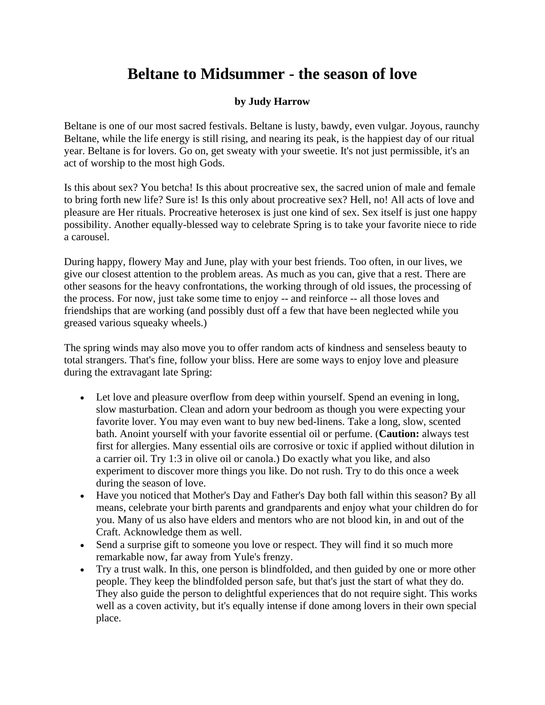## **Beltane to Midsummer - the season of love**

## **by Judy Harrow**

Beltane is one of our most sacred festivals. Beltane is lusty, bawdy, even vulgar. Joyous, raunchy Beltane, while the life energy is still rising, and nearing its peak, is the happiest day of our ritual year. Beltane is for lovers. Go on, get sweaty with your sweetie. It's not just permissible, it's an act of worship to the most high Gods.

Is this about sex? You betcha! Is this about procreative sex, the sacred union of male and female to bring forth new life? Sure is! Is this only about procreative sex? Hell, no! All acts of love and pleasure are Her rituals. Procreative heterosex is just one kind of sex. Sex itself is just one happy possibility. Another equally-blessed way to celebrate Spring is to take your favorite niece to ride a carousel.

During happy, flowery May and June, play with your best friends. Too often, in our lives, we give our closest attention to the problem areas. As much as you can, give that a rest. There are other seasons for the heavy confrontations, the working through of old issues, the processing of the process. For now, just take some time to enjoy -- and reinforce -- all those loves and friendships that are working (and possibly dust off a few that have been neglected while you greased various squeaky wheels.)

The spring winds may also move you to offer random acts of kindness and senseless beauty to total strangers. That's fine, follow your bliss. Here are some ways to enjoy love and pleasure during the extravagant late Spring:

- Let love and pleasure overflow from deep within yourself. Spend an evening in long, slow masturbation. Clean and adorn your bedroom as though you were expecting your favorite lover. You may even want to buy new bed-linens. Take a long, slow, scented bath. Anoint yourself with your favorite essential oil or perfume. (**Caution:** always test first for allergies. Many essential oils are corrosive or toxic if applied without dilution in a carrier oil. Try 1:3 in olive oil or canola.) Do exactly what you like, and also experiment to discover more things you like. Do not rush. Try to do this once a week during the season of love.
- Have you noticed that Mother's Day and Father's Day both fall within this season? By all means, celebrate your birth parents and grandparents and enjoy what your children do for you. Many of us also have elders and mentors who are not blood kin, in and out of the Craft. Acknowledge them as well.
- Send a surprise gift to someone you love or respect. They will find it so much more remarkable now, far away from Yule's frenzy.
- Try a trust walk. In this, one person is blindfolded, and then guided by one or more other people. They keep the blindfolded person safe, but that's just the start of what they do. They also guide the person to delightful experiences that do not require sight. This works well as a coven activity, but it's equally intense if done among lovers in their own special place.